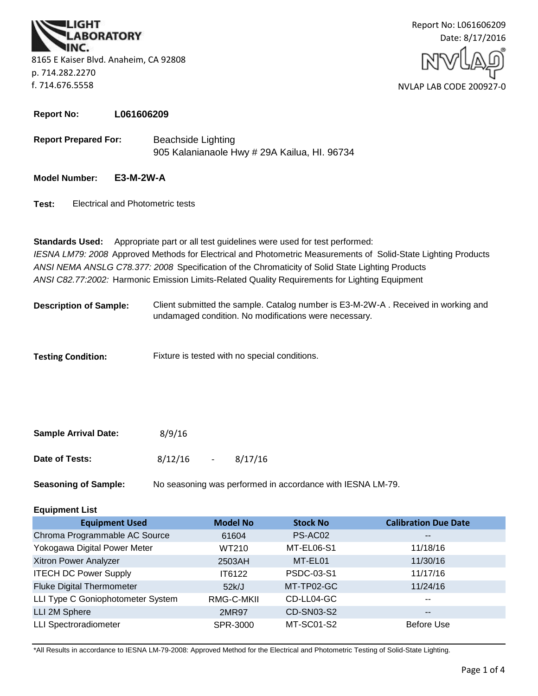**BORATORY** 8165 E Kaiser Blvd. Anaheim, CA 92808 p. 714.282.2270 f. 714.676.5558



**Report No: L061606209**

**Report Prepared For:** Beachside Lighting 905 Kalanianaole Hwy # 29A Kailua, HI. 96734

#### **Model Number: E3-M-2W-A**

**Test:** Electrical and Photometric tests

**Standards Used:** Appropriate part or all test guidelines were used for test performed: *IESNA LM79: 2008* Approved Methods for Electrical and Photometric Measurements of Solid-State Lighting Products *ANSI NEMA ANSLG C78.377: 2008* Specification of the Chromaticity of Solid State Lighting Products *ANSI C82.77:2002:* Harmonic Emission Limits-Related Quality Requirements for Lighting Equipment

**Description of Sample:** Client submitted the sample. Catalog number is E3-M-2W-A . Received in working and undamaged condition. No modifications were necessary.

**Testing Condition:** Fixture is tested with no special conditions.

| <b>Sample Arrival Date:</b> | 8/9/16  |        |         |
|-----------------------------|---------|--------|---------|
| Date of Tests:              | 8/12/16 | $\sim$ | 8/17/16 |

**Seasoning of Sample:** No seasoning was performed in accordance with IESNA LM-79.

#### **Equipment List**

| <b>Equipment Used</b>             | <b>Model No</b> | <b>Stock No</b> | <b>Calibration Due Date</b> |
|-----------------------------------|-----------------|-----------------|-----------------------------|
| Chroma Programmable AC Source     | 61604           | PS-AC02         | $\overline{\phantom{m}}$    |
| Yokogawa Digital Power Meter      | WT210           | MT-EL06-S1      | 11/18/16                    |
| Xitron Power Analyzer             | 2503AH          | MT-EL01         | 11/30/16                    |
| <b>ITECH DC Power Supply</b>      | IT6122          | PSDC-03-S1      | 11/17/16                    |
| <b>Fluke Digital Thermometer</b>  | 52k/J           | MT-TP02-GC      | 11/24/16                    |
| LLI Type C Goniophotometer System | RMG-C-MKII      | CD-LL04-GC      | $- -$                       |
| LLI 2M Sphere                     | 2MR97           | CD-SN03-S2      | $\overline{\phantom{m}}$    |
| <b>LLI Spectroradiometer</b>      | SPR-3000        | MT-SC01-S2      | Before Use                  |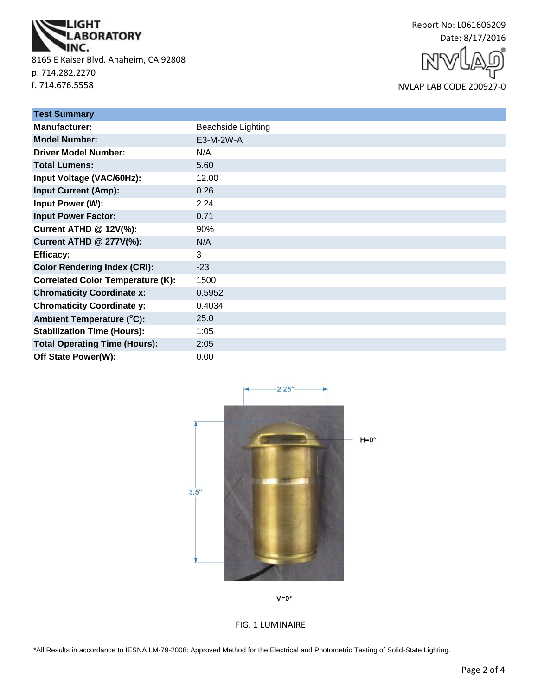

8165 E Kaiser Blvd. Anaheim, CA 92808 p. 714.282.2270 f. 714.676.5558

Report No: L061606209 Date: 8/17/2016

NVLAP LAB CODE 200927-0

| <b>Test Summary</b>                      |                           |
|------------------------------------------|---------------------------|
| <b>Manufacturer:</b>                     | <b>Beachside Lighting</b> |
| <b>Model Number:</b>                     | E3-M-2W-A                 |
| <b>Driver Model Number:</b>              | N/A                       |
| <b>Total Lumens:</b>                     | 5.60                      |
| Input Voltage (VAC/60Hz):                | 12.00                     |
| <b>Input Current (Amp):</b>              | 0.26                      |
| Input Power (W):                         | 2.24                      |
| <b>Input Power Factor:</b>               | 0.71                      |
| <b>Current ATHD @ 12V(%):</b>            | 90%                       |
| <b>Current ATHD @ 277V(%):</b>           | N/A                       |
| <b>Efficacy:</b>                         | 3                         |
| <b>Color Rendering Index (CRI):</b>      | $-23$                     |
| <b>Correlated Color Temperature (K):</b> | 1500                      |
| <b>Chromaticity Coordinate x:</b>        | 0.5952                    |
| <b>Chromaticity Coordinate y:</b>        | 0.4034                    |
| Ambient Temperature (°C):                | 25.0                      |
| <b>Stabilization Time (Hours):</b>       | 1:05                      |
| <b>Total Operating Time (Hours):</b>     | 2:05                      |
| Off State Power(W):                      | 0.00                      |



FIG. 1 LUMINAIRE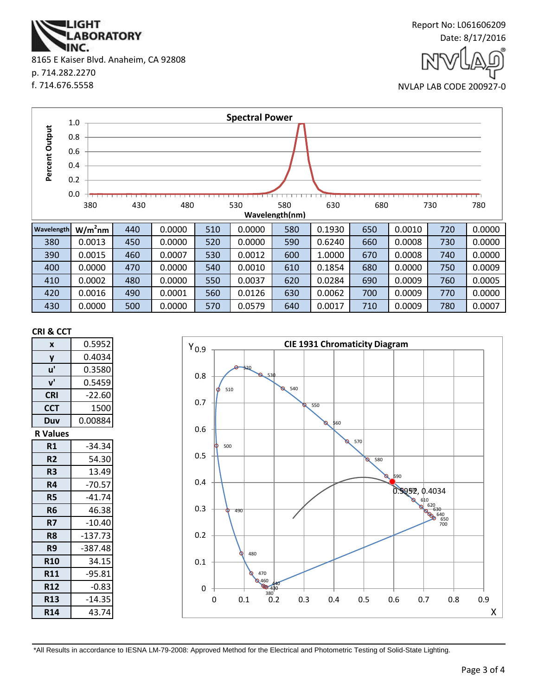NC. 8165 E Kaiser Blvd. Anaheim, CA 92808 p. 714.282.2270 f. 714.676.5558

**ABORATORY** 

**IGHT** 





|                | 1.0 |                                                                               |     |        |     | <b>Spectral Power</b> |     |        |     |        |     |        |
|----------------|-----|-------------------------------------------------------------------------------|-----|--------|-----|-----------------------|-----|--------|-----|--------|-----|--------|
|                | 0.8 |                                                                               |     |        |     |                       |     |        |     |        |     |        |
| Percent Output | 0.6 |                                                                               |     |        |     |                       |     |        |     |        |     |        |
|                |     |                                                                               |     |        |     |                       |     |        |     |        |     |        |
|                | 0.4 |                                                                               |     |        |     |                       |     |        |     |        |     |        |
|                | 0.2 |                                                                               |     |        |     |                       |     |        |     |        |     |        |
|                | 0.0 |                                                                               |     |        |     |                       |     |        |     |        |     |        |
|                |     | 430<br>480<br>530<br>580<br>630<br>680<br>380<br>730<br>780<br>Wavelength(nm) |     |        |     |                       |     |        |     |        |     |        |
| Wavelength     |     | $W/m2$ nm                                                                     | 440 | 0.0000 | 510 | 0.0000                | 580 | 0.1930 | 650 | 0.0010 | 720 | 0.0000 |
| 380            |     | 0.0013                                                                        | 450 | 0.0000 | 520 | 0.0000                | 590 | 0.6240 | 660 | 0.0008 | 730 | 0.0000 |
| 390            |     | 0.0015                                                                        | 460 | 0.0007 | 530 | 0.0012                | 600 | 1.0000 | 670 | 0.0008 | 740 | 0.0000 |
| 400            |     | 0.0000                                                                        | 470 | 0.0000 | 540 | 0.0010                | 610 | 0.1854 | 680 | 0.0000 | 750 | 0.0009 |
| 410            |     | 0.0002                                                                        | 480 | 0.0000 | 550 | 0.0037                | 620 | 0.0284 | 690 | 0.0009 | 760 | 0.0005 |
| 420            |     | 0.0016                                                                        | 490 | 0.0001 | 560 | 0.0126                | 630 | 0.0062 | 700 | 0.0009 | 770 | 0.0000 |
| 430            |     | 0.0000                                                                        | 500 | 0.0000 | 570 | 0.0579                | 640 | 0.0017 | 710 | 0.0009 | 780 | 0.0007 |

#### **CRI & CCT**

| X               | 0.5952    |  |  |  |
|-----------------|-----------|--|--|--|
| y               | 0.4034    |  |  |  |
| u'              | 0.3580    |  |  |  |
| ${\bf v}'$      | 0.5459    |  |  |  |
| <b>CRI</b>      | $-22.60$  |  |  |  |
| <b>CCT</b>      | 1500      |  |  |  |
| Duv             | 0.00884   |  |  |  |
| <b>R</b> Values |           |  |  |  |
| R1              | $-34.34$  |  |  |  |
| R <sub>2</sub>  | 54.30     |  |  |  |
| R <sub>3</sub>  | 13.49     |  |  |  |
| R4              | $-70.57$  |  |  |  |
| <b>R5</b>       | $-41.74$  |  |  |  |
| R <sub>6</sub>  | 46.38     |  |  |  |
| R7              | $-10.40$  |  |  |  |
| R8              | $-137.73$ |  |  |  |
| R9              | -387.48   |  |  |  |
| <b>R10</b>      | 34.15     |  |  |  |
| <b>R11</b>      | $-95.81$  |  |  |  |
| <b>R12</b>      | $-0.83$   |  |  |  |
| <b>R13</b>      | $-14.35$  |  |  |  |
| <b>R14</b>      | 43.74     |  |  |  |

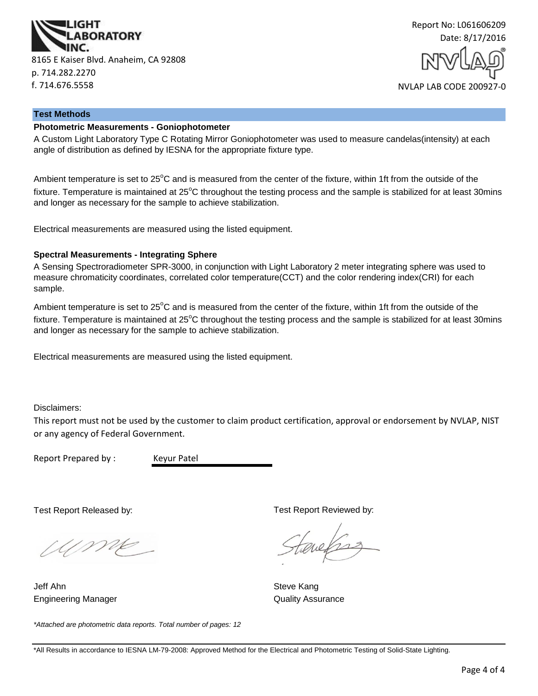



#### **Test Methods**

#### **Photometric Measurements - Goniophotometer**

A Custom Light Laboratory Type C Rotating Mirror Goniophotometer was used to measure candelas(intensity) at each angle of distribution as defined by IESNA for the appropriate fixture type.

Ambient temperature is set to 25<sup>°</sup>C and is measured from the center of the fixture, within 1ft from the outside of the fixture. Temperature is maintained at  $25^{\circ}$ C throughout the testing process and the sample is stabilized for at least 30mins and longer as necessary for the sample to achieve stabilization.

Electrical measurements are measured using the listed equipment.

#### **Spectral Measurements - Integrating Sphere**

A Sensing Spectroradiometer SPR-3000, in conjunction with Light Laboratory 2 meter integrating sphere was used to measure chromaticity coordinates, correlated color temperature(CCT) and the color rendering index(CRI) for each sample.

Ambient temperature is set to  $25^{\circ}$ C and is measured from the center of the fixture, within 1ft from the outside of the fixture. Temperature is maintained at  $25^{\circ}$ C throughout the testing process and the sample is stabilized for at least 30mins and longer as necessary for the sample to achieve stabilization.

Electrical measurements are measured using the listed equipment.

Disclaimers:

This report must not be used by the customer to claim product certification, approval or endorsement by NVLAP, NIST or any agency of Federal Government.

Report Prepared by : Keyur Patel

Test Report Released by:

UME

Engineering Manager **Contains a Strutter Contains a Container Contains A**uality Assurance Jeff Ahn Steve Kang

Test Report Reviewed by:

auchs

*\*Attached are photometric data reports. Total number of pages: 12*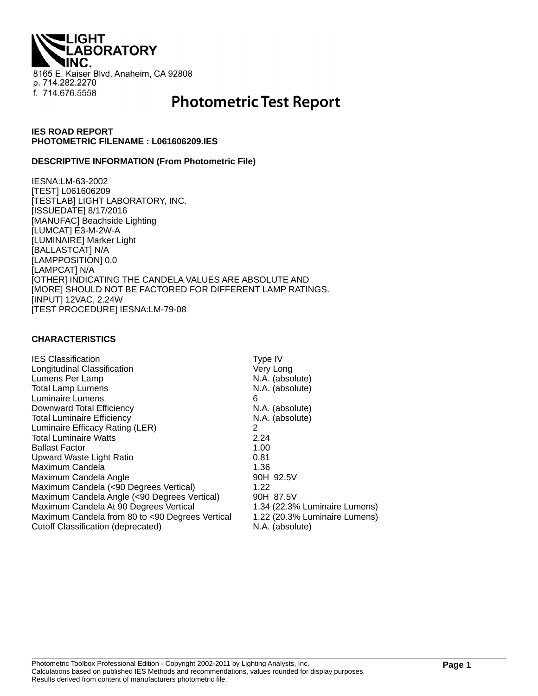**LIGHT<br>'LABORATORY** 8165 E. Kaiser Blvd. Anaheim, CA 92808 p. 714.282.2270 f. 714.676.5558

# **Photometric Test Report**

#### **IES ROAD REPORT PHOTOMETRIC FILENAME : L061606209.IES**

#### **DESCRIPTIVE INFORMATION (From Photometric File)**

IESNA:LM-63-2002 [TEST] L061606209 [TESTLAB] LIGHT LABORATORY, INC. [ISSUEDATE] 8/17/2016 [MANUFAC] Beachside Lighting [LUMCAT] E3-M-2W-A [LUMINAIRE] Marker Light [BALLASTCAT] N/A [LAMPPOSITION] 0,0 [LAMPCAT] N/A [OTHER] INDICATING THE CANDELA VALUES ARE ABSOLUTE AND [MORE] SHOULD NOT BE FACTORED FOR DIFFERENT LAMP RATINGS. [INPUT] 12VAC, 2.24W [TEST PROCEDURE] IESNA:LM-79-08

#### **CHARACTERISTICS**

| <b>IES Classification</b>                       | Type IV                       |
|-------------------------------------------------|-------------------------------|
| Longitudinal Classification                     | Very Long                     |
| Lumens Per Lamp                                 | N.A. (absolute)               |
| <b>Total Lamp Lumens</b>                        | N.A. (absolute)               |
| Luminaire Lumens                                | 6                             |
| Downward Total Efficiency                       | N.A. (absolute)               |
| <b>Total Luminaire Efficiency</b>               | N.A. (absolute)               |
| Luminaire Efficacy Rating (LER)                 | 2                             |
| <b>Total Luminaire Watts</b>                    | 2.24                          |
| <b>Ballast Factor</b>                           | 1.00                          |
| Upward Waste Light Ratio                        | 0.81                          |
| Maximum Candela                                 | 1.36                          |
| Maximum Candela Angle                           | 90H 92.5V                     |
| Maximum Candela (<90 Degrees Vertical)          | 1.22                          |
| Maximum Candela Angle (<90 Degrees Vertical)    | 90H 87.5V                     |
| Maximum Candela At 90 Degrees Vertical          | 1.34 (22.3% Luminaire Lumens) |
| Maximum Candela from 80 to <90 Degrees Vertical | 1.22 (20.3% Luminaire Lumens) |
| Cutoff Classification (deprecated)              | N.A. (absolute)               |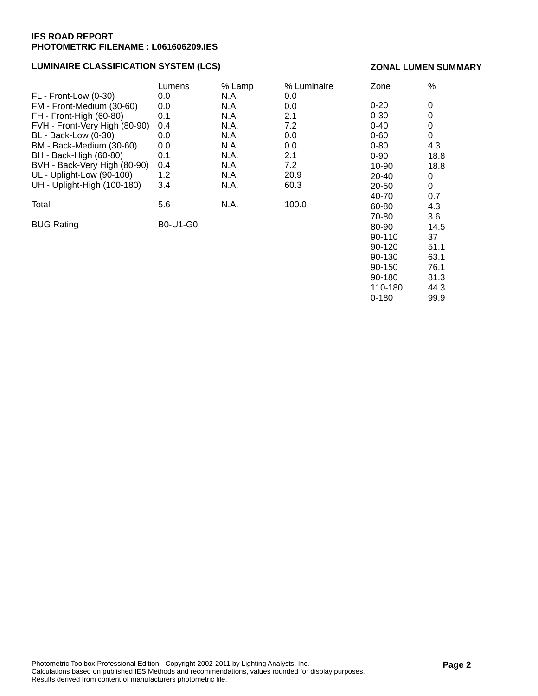#### **LUMINAIRE CLASSIFICATION SYSTEM (LCS)**

#### **ZONAL LUMEN SUMMARY**

90-180 81.3 110-180 44.3 0-180 99.9

|                               | Lumens          | % Lamp | % Luminaire | Zone     | $\%$ |
|-------------------------------|-----------------|--------|-------------|----------|------|
| FL - Front-Low (0-30)         | 0.0             | N.A.   | 0.0         |          |      |
| FM - Front-Medium (30-60)     | 0.0             | N.A.   | 0.0         | $0 - 20$ | 0    |
| FH - Front-High (60-80)       | 0.1             | N.A.   | 2.1         | $0 - 30$ | 0    |
| FVH - Front-Very High (80-90) | 0.4             | N.A.   | 7.2         | $0 - 40$ | 0    |
| BL - Back-Low (0-30)          | 0.0             | N.A.   | 0.0         | $0 - 60$ | 0    |
| BM - Back-Medium (30-60)      | 0.0             | N.A.   | 0.0         | $0 - 80$ | 4.3  |
| BH - Back-High (60-80)        | 0.1             | N.A.   | 2.1         | $0 - 90$ | 18.8 |
| BVH - Back-Very High (80-90)  | 0.4             | N.A.   | 7.2         | 10-90    | 18.8 |
| UL - Uplight-Low (90-100)     | 1.2             | N.A.   | 20.9        | 20-40    | 0    |
| UH - Uplight-High (100-180)   | 3.4             | N.A.   | 60.3        | 20-50    | 0    |
|                               |                 |        |             | 40-70    | 0.7  |
| Total                         | 5.6             | N.A.   | 100.0       | 60-80    | 4.3  |
|                               |                 |        |             | 70-80    | 3.6  |
| <b>BUG Rating</b>             | <b>B0-U1-G0</b> |        |             | 80-90    | 14.5 |
|                               |                 |        |             | 90-110   | 37   |
|                               |                 |        |             | $90-120$ | 51.1 |
|                               |                 |        |             | 90-130   | 63.1 |
|                               |                 |        |             | 90-150   | 76.1 |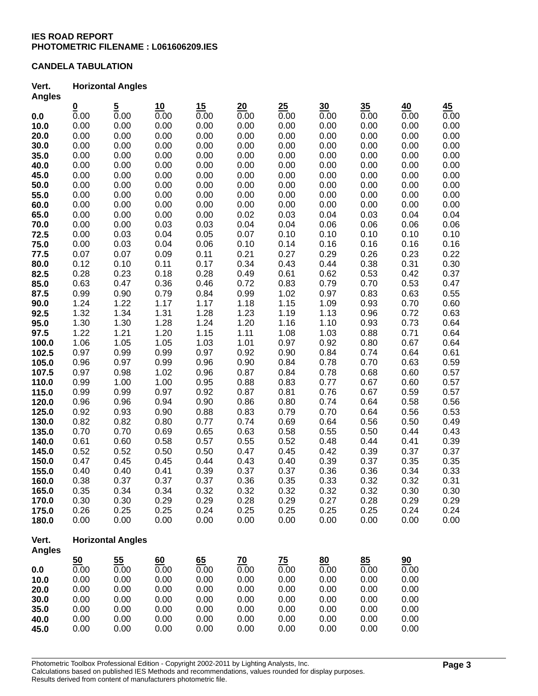#### **CANDELA TABULATION**

#### **Vert. Horizontal Angles Angles**

| Angles         |                  |                          |              |              |              |              |              |              |              |              |
|----------------|------------------|--------------------------|--------------|--------------|--------------|--------------|--------------|--------------|--------------|--------------|
|                | $\frac{0}{0.00}$ | $\frac{5}{0.00}$         | 10           | 15           | 20           | 25           | 30           | 35           | 40           | 45           |
| 0.0            |                  |                          | 0.00         | 0.00         | 0.00         | 0.00         | 0.00         | 0.00         | 0.00         | 0.00         |
| 10.0           | 0.00             | 0.00                     | 0.00         | 0.00         | 0.00         | 0.00         | 0.00         | 0.00         | 0.00         | 0.00         |
| 20.0           | 0.00             | 0.00                     | 0.00         | 0.00         | 0.00         | 0.00         | 0.00         | 0.00         | 0.00         | 0.00         |
| 30.0           | 0.00             | 0.00                     | 0.00         | 0.00         | 0.00         | 0.00         | 0.00         | 0.00         | 0.00         | 0.00         |
| 35.0           | 0.00             | 0.00                     | 0.00         | 0.00         | 0.00         | 0.00         | 0.00         | 0.00         | 0.00         | 0.00         |
| 40.0           | 0.00             | 0.00                     | 0.00         | 0.00         | 0.00         | 0.00         | 0.00         | 0.00         | 0.00         | 0.00         |
| 45.0           | 0.00             | 0.00                     | 0.00         | 0.00         | 0.00         | 0.00         | 0.00         | 0.00         | 0.00         | 0.00         |
| 50.0           | 0.00             | 0.00                     | 0.00         | 0.00         | 0.00         | 0.00         | 0.00         | 0.00         | 0.00         | 0.00         |
| 55.0           | 0.00             | 0.00                     | 0.00         | 0.00         | 0.00         | 0.00         | 0.00         | 0.00         | 0.00         | 0.00         |
| 60.0           | 0.00             | 0.00                     | 0.00         | 0.00         | 0.00         | 0.00         | 0.00         | 0.00         | 0.00         | 0.00         |
| 65.0           | 0.00             | 0.00                     | 0.00         | 0.00         | 0.02         | 0.03         | 0.04         | 0.03         | 0.04         | 0.04         |
| 70.0           | 0.00             | 0.00                     | 0.03         | 0.03         | 0.04         | 0.04         | 0.06         | 0.06         | 0.06         | 0.06         |
| 72.5           | 0.00             | 0.03                     | 0.04         | 0.05         | 0.07         | 0.10         | 0.10         | 0.10         | 0.10         | 0.10         |
| 75.0           | 0.00             | 0.03                     | 0.04         | 0.06         | 0.10         | 0.14         | 0.16         | 0.16         | 0.16         | 0.16         |
| 77.5           | 0.07             | 0.07                     | 0.09         | 0.11         | 0.21         | 0.27         | 0.29         | 0.26         | 0.23         | 0.22         |
| 80.0           | 0.12             | 0.10                     | 0.11         | 0.17         | 0.34         | 0.43         | 0.44         | 0.38         | 0.31         | 0.30         |
| 82.5           | 0.28             | 0.23                     | 0.18         | 0.28         | 0.49         | 0.61         | 0.62         | 0.53         | 0.42         | 0.37         |
| 85.0           | 0.63             | 0.47                     | 0.36         | 0.46         | 0.72         | 0.83         | 0.79         | 0.70         | 0.53         | 0.47         |
| 87.5           | 0.99             | 0.90                     | 0.79         | 0.84         | 0.99         | 1.02         | 0.97         | 0.83         | 0.63         | 0.55         |
| 90.0           | 1.24             | 1.22                     | 1.17         | 1.17         | 1.18         | 1.15         | 1.09         | 0.93         | 0.70         | 0.60         |
| 92.5           | 1.32             | 1.34                     | 1.31         | 1.28         | 1.23         | 1.19         | 1.13         | 0.96         | 0.72         | 0.63         |
| 95.0           | 1.30<br>1.22     | 1.30                     | 1.28         | 1.24         | 1.20         | 1.16         | 1.10         | 0.93<br>0.88 | 0.73         | 0.64         |
| 97.5           | 1.06             | 1.21<br>1.05             | 1.20<br>1.05 | 1.15<br>1.03 | 1.11<br>1.01 | 1.08<br>0.97 | 1.03<br>0.92 | 0.80         | 0.71<br>0.67 | 0.64         |
| 100.0<br>102.5 | 0.97             | 0.99                     | 0.99         | 0.97         | 0.92         | 0.90         | 0.84         | 0.74         | 0.64         | 0.64<br>0.61 |
| 105.0          | 0.96             | 0.97                     | 0.99         | 0.96         | 0.90         | 0.84         | 0.78         | 0.70         | 0.63         | 0.59         |
| 107.5          | 0.97             | 0.98                     | 1.02         | 0.96         | 0.87         | 0.84         | 0.78         | 0.68         | 0.60         | 0.57         |
| 110.0          | 0.99             | 1.00                     | 1.00         | 0.95         | 0.88         | 0.83         | 0.77         | 0.67         | 0.60         | 0.57         |
| 115.0          | 0.99             | 0.99                     | 0.97         | 0.92         | 0.87         | 0.81         | 0.76         | 0.67         | 0.59         | 0.57         |
| 120.0          | 0.96             | 0.96                     | 0.94         | 0.90         | 0.86         | 0.80         | 0.74         | 0.64         | 0.58         | 0.56         |
| 125.0          | 0.92             | 0.93                     | 0.90         | 0.88         | 0.83         | 0.79         | 0.70         | 0.64         | 0.56         | 0.53         |
| 130.0          | 0.82             | 0.82                     | 0.80         | 0.77         | 0.74         | 0.69         | 0.64         | 0.56         | 0.50         | 0.49         |
| 135.0          | 0.70             | 0.70                     | 0.69         | 0.65         | 0.63         | 0.58         | 0.55         | 0.50         | 0.44         | 0.43         |
| 140.0          | 0.61             | 0.60                     | 0.58         | 0.57         | 0.55         | 0.52         | 0.48         | 0.44         | 0.41         | 0.39         |
| 145.0          | 0.52             | 0.52                     | 0.50         | 0.50         | 0.47         | 0.45         | 0.42         | 0.39         | 0.37         | 0.37         |
| 150.0          | 0.47             | 0.45                     | 0.45         | 0.44         | 0.43         | 0.40         | 0.39         | 0.37         | 0.35         | 0.35         |
| 155.0          | 0.40             | 0.40                     | 0.41         | 0.39         | 0.37         | 0.37         | 0.36         | 0.36         | 0.34         | 0.33         |
| 160.0          | 0.38             | 0.37                     | 0.37         | 0.37         | 0.36         | 0.35         | 0.33         | 0.32         | 0.32         | 0.31         |
| 165.0          | 0.35             | 0.34                     | 0.34         | 0.32         | 0.32         | 0.32         | 0.32         | 0.32         | 0.30         | 0.30         |
| 170.0          | 0.30             | 0.30                     | 0.29         | 0.29         | 0.28         | 0.29         | 0.27         | 0.28         | 0.29         | 0.29         |
| 175.0          | 0.26             | 0.25                     | 0.25         | 0.24         | 0.25         | 0.25         | 0.25         | 0.25         | 0.24         | 0.24         |
| 180.0          | 0.00             | 0.00                     | 0.00         | 0.00         | 0.00         | 0.00         | 0.00         | 0.00         | 0.00         | 0.00         |
| Vert.          |                  | <b>Horizontal Angles</b> |              |              |              |              |              |              |              |              |
| <b>Angles</b>  |                  |                          |              |              |              |              |              |              |              |              |
|                | 50               | 55                       | 60           | 65           | 70           | 75           | 80           | 85           | 90           |              |
| 0.0            | 0.00             | 0.00                     | 0.00         | 0.00         | 0.00         | 0.00         | 0.00         | 0.00         | 0.00         |              |
| 10.0           | 0.00             | 0.00                     | 0.00         | 0.00         | 0.00         | 0.00         | 0.00         | 0.00         | 0.00         |              |
| 20.0           | 0.00             | 0.00                     | 0.00         | 0.00         | 0.00         | 0.00         | 0.00         | 0.00         | 0.00         |              |
| 30.0           | 0.00             | 0.00                     | 0.00         | 0.00         | 0.00         | 0.00         | 0.00         | 0.00         | 0.00         |              |
| 35.0           | 0.00             | 0.00                     | 0.00         | 0.00         | 0.00         | 0.00         | 0.00         | 0.00         | 0.00         |              |
| 40.0           | 0.00             | 0.00                     | 0.00         | 0.00         | 0.00         | 0.00         | 0.00         | 0.00         | 0.00         |              |
| 45.0           | 0.00             | 0.00                     | 0.00         | 0.00         | 0.00         | 0.00         | 0.00         | 0.00         | 0.00         |              |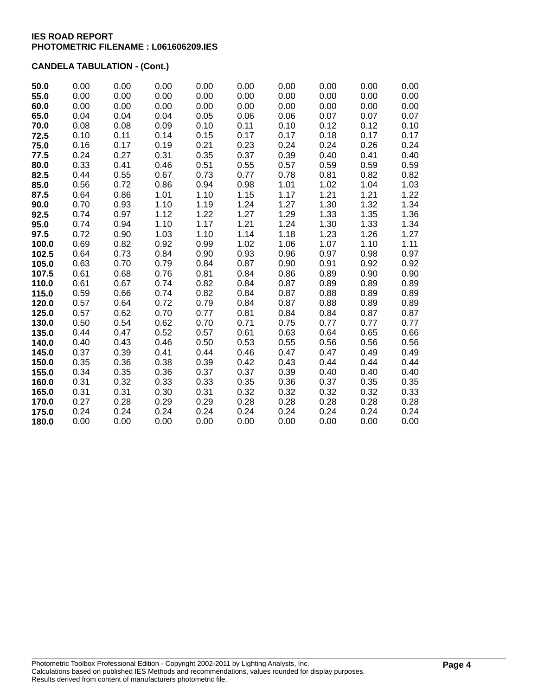## **CANDELA TABULATION - (Cont.)**

| 50.0  | 0.00 | 0.00 | 0.00 | 0.00 | 0.00 | 0.00 | 0.00 | 0.00 | 0.00 |
|-------|------|------|------|------|------|------|------|------|------|
| 55.0  | 0.00 | 0.00 | 0.00 | 0.00 | 0.00 | 0.00 | 0.00 | 0.00 | 0.00 |
| 60.0  | 0.00 | 0.00 | 0.00 | 0.00 | 0.00 | 0.00 | 0.00 | 0.00 | 0.00 |
| 65.0  | 0.04 | 0.04 | 0.04 | 0.05 | 0.06 | 0.06 | 0.07 | 0.07 | 0.07 |
| 70.0  | 0.08 | 0.08 | 0.09 | 0.10 | 0.11 | 0.10 | 0.12 | 0.12 | 0.10 |
| 72.5  | 0.10 | 0.11 | 0.14 | 0.15 | 0.17 | 0.17 | 0.18 | 0.17 | 0.17 |
| 75.0  | 0.16 | 0.17 | 0.19 | 0.21 | 0.23 | 0.24 | 0.24 | 0.26 | 0.24 |
| 77.5  | 0.24 | 0.27 | 0.31 | 0.35 | 0.37 | 0.39 | 0.40 | 0.41 | 0.40 |
| 80.0  | 0.33 | 0.41 | 0.46 | 0.51 | 0.55 | 0.57 | 0.59 | 0.59 | 0.59 |
| 82.5  | 0.44 | 0.55 | 0.67 | 0.73 | 0.77 | 0.78 | 0.81 | 0.82 | 0.82 |
| 85.0  | 0.56 | 0.72 | 0.86 | 0.94 | 0.98 | 1.01 | 1.02 | 1.04 | 1.03 |
| 87.5  | 0.64 | 0.86 | 1.01 | 1.10 | 1.15 | 1.17 | 1.21 | 1.21 | 1.22 |
| 90.0  | 0.70 | 0.93 | 1.10 | 1.19 | 1.24 | 1.27 | 1.30 | 1.32 | 1.34 |
| 92.5  | 0.74 | 0.97 | 1.12 | 1.22 | 1.27 | 1.29 | 1.33 | 1.35 | 1.36 |
| 95.0  | 0.74 | 0.94 | 1.10 | 1.17 | 1.21 | 1.24 | 1.30 | 1.33 | 1.34 |
| 97.5  | 0.72 | 0.90 | 1.03 | 1.10 | 1.14 | 1.18 | 1.23 | 1.26 | 1.27 |
| 100.0 | 0.69 | 0.82 | 0.92 | 0.99 | 1.02 | 1.06 | 1.07 | 1.10 | 1.11 |
| 102.5 | 0.64 | 0.73 | 0.84 | 0.90 | 0.93 | 0.96 | 0.97 | 0.98 | 0.97 |
| 105.0 | 0.63 | 0.70 | 0.79 | 0.84 | 0.87 | 0.90 | 0.91 | 0.92 | 0.92 |
| 107.5 | 0.61 | 0.68 | 0.76 | 0.81 | 0.84 | 0.86 | 0.89 | 0.90 | 0.90 |
| 110.0 | 0.61 | 0.67 | 0.74 | 0.82 | 0.84 | 0.87 | 0.89 | 0.89 | 0.89 |
| 115.0 | 0.59 | 0.66 | 0.74 | 0.82 | 0.84 | 0.87 | 0.88 | 0.89 | 0.89 |
| 120.0 | 0.57 | 0.64 | 0.72 | 0.79 | 0.84 | 0.87 | 0.88 | 0.89 | 0.89 |
| 125.0 | 0.57 | 0.62 | 0.70 | 0.77 | 0.81 | 0.84 | 0.84 | 0.87 | 0.87 |
| 130.0 | 0.50 | 0.54 | 0.62 | 0.70 | 0.71 | 0.75 | 0.77 | 0.77 | 0.77 |
| 135.0 | 0.44 | 0.47 | 0.52 | 0.57 | 0.61 | 0.63 | 0.64 | 0.65 | 0.66 |
| 140.0 | 0.40 | 0.43 | 0.46 | 0.50 | 0.53 | 0.55 | 0.56 | 0.56 | 0.56 |
| 145.0 | 0.37 | 0.39 | 0.41 | 0.44 | 0.46 | 0.47 | 0.47 | 0.49 | 0.49 |
| 150.0 | 0.35 | 0.36 | 0.38 | 0.39 | 0.42 | 0.43 | 0.44 | 0.44 | 0.44 |
| 155.0 | 0.34 | 0.35 | 0.36 | 0.37 | 0.37 | 0.39 | 0.40 | 0.40 | 0.40 |
| 160.0 | 0.31 | 0.32 | 0.33 | 0.33 | 0.35 | 0.36 | 0.37 | 0.35 | 0.35 |
| 165.0 | 0.31 | 0.31 | 0.30 | 0.31 | 0.32 | 0.32 | 0.32 | 0.32 | 0.33 |
| 170.0 | 0.27 | 0.28 | 0.29 | 0.29 | 0.28 | 0.28 | 0.28 | 0.28 | 0.28 |
| 175.0 | 0.24 | 0.24 | 0.24 | 0.24 | 0.24 | 0.24 | 0.24 | 0.24 | 0.24 |
| 180.0 | 0.00 | 0.00 | 0.00 | 0.00 | 0.00 | 0.00 | 0.00 | 0.00 | 0.00 |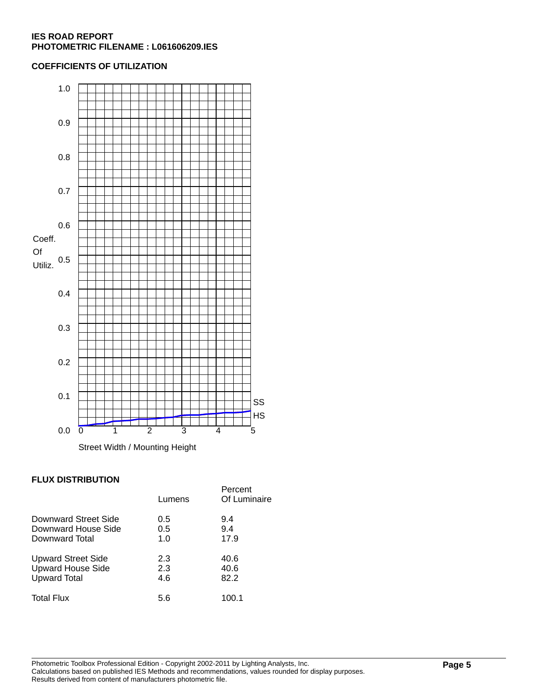#### **COEFFICIENTS OF UTILIZATION**



#### **FLUX DISTRIBUTION**

|                           | Lumens | Percent<br>Of Luminaire |
|---------------------------|--------|-------------------------|
| Downward Street Side      | 0.5    | 9.4                     |
| Downward House Side       | 0.5    | 9.4                     |
| Downward Total            | 1.0    | 17.9                    |
| <b>Upward Street Side</b> | 2.3    | 40.6                    |
| <b>Upward House Side</b>  | 2.3    | 40.6                    |
| <b>Upward Total</b>       | 4.6    | 82.2                    |
| <b>Total Flux</b>         | 5.6    | 100.1                   |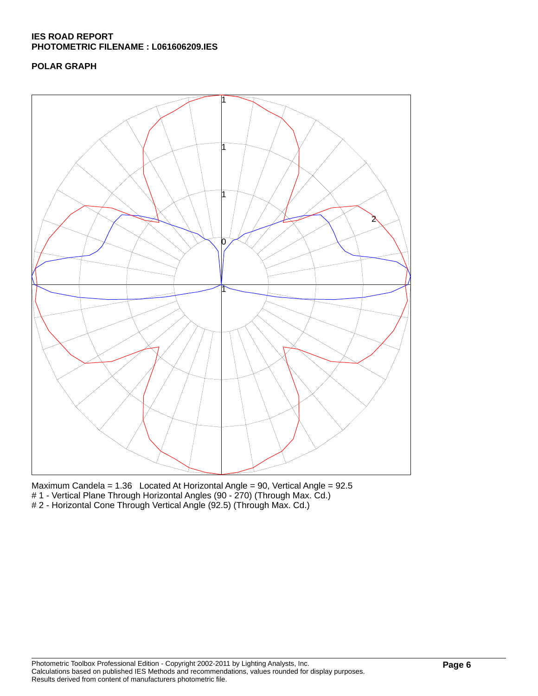## **POLAR GRAPH**



Maximum Candela = 1.36 Located At Horizontal Angle = 90, Vertical Angle = 92.5 # 1 - Vertical Plane Through Horizontal Angles (90 - 270) (Through Max. Cd.) # 2 - Horizontal Cone Through Vertical Angle (92.5) (Through Max. Cd.)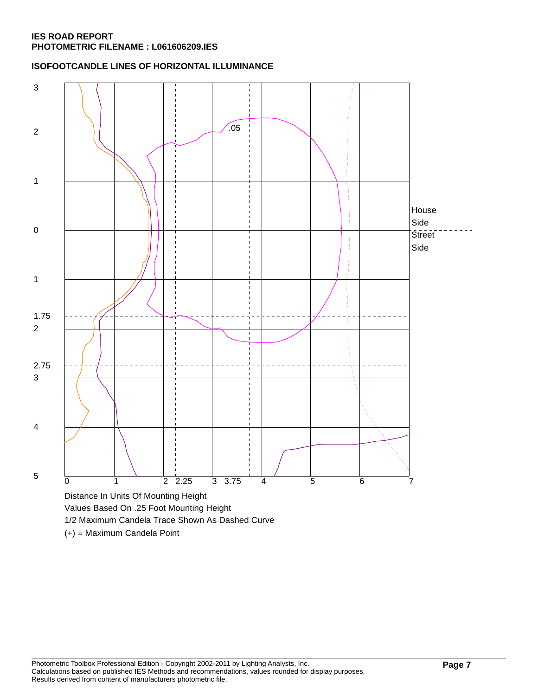**ISOFOOTCANDLE LINES OF HORIZONTAL ILLUMINANCE**



(+) = Maximum Candela Point